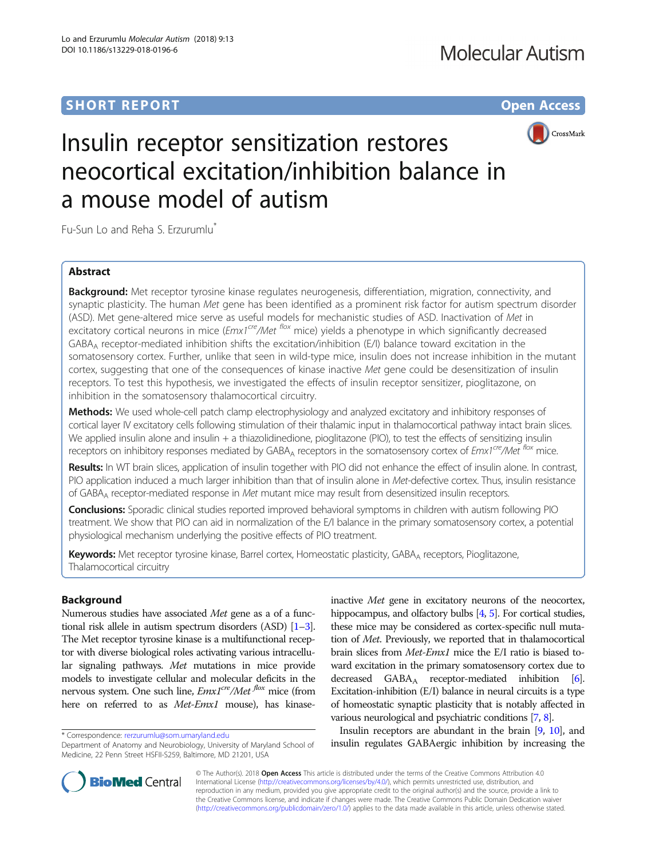# **SHORT REPORT CONTRACT CONTRACT CONTRACT CONTRACT CONTRACT CONTRACT CONTRACT CONTRACT CONTRACT CONTRACT CONTRACT CONTRACT CONTRACT CONTRACT CONTRACT CONTRACT CONTRACT CONTRACT CONTRACT CONTRACT CONTRACT CONTRACT CONTRACT C**



# Insulin receptor sensitization restores neocortical excitation/inhibition balance in a mouse model of autism

Fu-Sun Lo and Reha S. Erzurumlu\*

# Abstract

Background: Met receptor tyrosine kinase regulates neurogenesis, differentiation, migration, connectivity, and synaptic plasticity. The human Met gene has been identified as a prominent risk factor for autism spectrum disorder (ASD). Met gene-altered mice serve as useful models for mechanistic studies of ASD. Inactivation of Met in excitatory cortical neurons in mice ( $Emx1<sup>cre</sup>/Met$  flox mice) yields a phenotype in which significantly decreased GABA<sub>A</sub> receptor-mediated inhibition shifts the excitation/inhibition (E/I) balance toward excitation in the somatosensory cortex. Further, unlike that seen in wild-type mice, insulin does not increase inhibition in the mutant cortex, suggesting that one of the consequences of kinase inactive Met gene could be desensitization of insulin receptors. To test this hypothesis, we investigated the effects of insulin receptor sensitizer, pioglitazone, on inhibition in the somatosensory thalamocortical circuitry.

Methods: We used whole-cell patch clamp electrophysiology and analyzed excitatory and inhibitory responses of cortical layer IV excitatory cells following stimulation of their thalamic input in thalamocortical pathway intact brain slices. We applied insulin alone and insulin  $+$  a thiazolidinedione, pioglitazone (PIO), to test the effects of sensitizing insulin receptors on inhibitory responses mediated by GABA<sub>A</sub> receptors in the somatosensory cortex of Emx1<sup>cre</sup>/Met <sup>flox</sup> mice.

Results: In WT brain slices, application of insulin together with PIO did not enhance the effect of insulin alone. In contrast, PIO application induced a much larger inhibition than that of insulin alone in Met-defective cortex. Thus, insulin resistance of GABA<sub>A</sub> receptor-mediated response in Met mutant mice may result from desensitized insulin receptors.

Conclusions: Sporadic clinical studies reported improved behavioral symptoms in children with autism following PIO treatment. We show that PIO can aid in normalization of the E/I balance in the primary somatosensory cortex, a potential physiological mechanism underlying the positive effects of PIO treatment.

Keywords: Met receptor tyrosine kinase, Barrel cortex, Homeostatic plasticity, GABA<sub>A</sub> receptors, Pioglitazone, Thalamocortical circuitry

# Background

Numerous studies have associated Met gene as a of a functional risk allele in autism spectrum disorders (ASD) [\[1](#page-7-0)–[3](#page-7-0)]. The Met receptor tyrosine kinase is a multifunctional receptor with diverse biological roles activating various intracellular signaling pathways. Met mutations in mice provide models to investigate cellular and molecular deficits in the nervous system. One such line,  $Emx1^{cre}/Met$  mice (from here on referred to as Met-Emx1 mouse), has kinase-

inactive Met gene in excitatory neurons of the neocortex, hippocampus, and olfactory bulbs [\[4,](#page-7-0) [5](#page-7-0)]. For cortical studies, these mice may be considered as cortex-specific null mutation of Met. Previously, we reported that in thalamocortical brain slices from Met-Emx1 mice the E/I ratio is biased toward excitation in the primary somatosensory cortex due to decreased  $GABA_A$  receptor-mediated inhibition [\[6](#page-7-0)]. Excitation-inhibition (E/I) balance in neural circuits is a type of homeostatic synaptic plasticity that is notably affected in various neurological and psychiatric conditions [\[7,](#page-7-0) [8](#page-7-0)].

Insulin receptors are abundant in the brain [\[9,](#page-7-0) [10](#page-7-0)], and tinsum receptors are abundant in the brain (b) and \* Correspondence: [rerzurumlu@som.umaryland.edu](mailto:rerzurumlu@som.umaryland.edu)<br>Department of Anatomy and Neurobiology, University of Maryland School of \* **insulin regulates GABAergic inhibition by increa** 



© The Author(s). 2018 Open Access This article is distributed under the terms of the Creative Commons Attribution 4.0 International License [\(http://creativecommons.org/licenses/by/4.0/](http://creativecommons.org/licenses/by/4.0/)), which permits unrestricted use, distribution, and reproduction in any medium, provided you give appropriate credit to the original author(s) and the source, provide a link to the Creative Commons license, and indicate if changes were made. The Creative Commons Public Domain Dedication waiver [\(http://creativecommons.org/publicdomain/zero/1.0/](http://creativecommons.org/publicdomain/zero/1.0/)) applies to the data made available in this article, unless otherwise stated.

Department of Anatomy and Neurobiology, University of Maryland School of Medicine, 22 Penn Street HSFII-S259, Baltimore, MD 21201, USA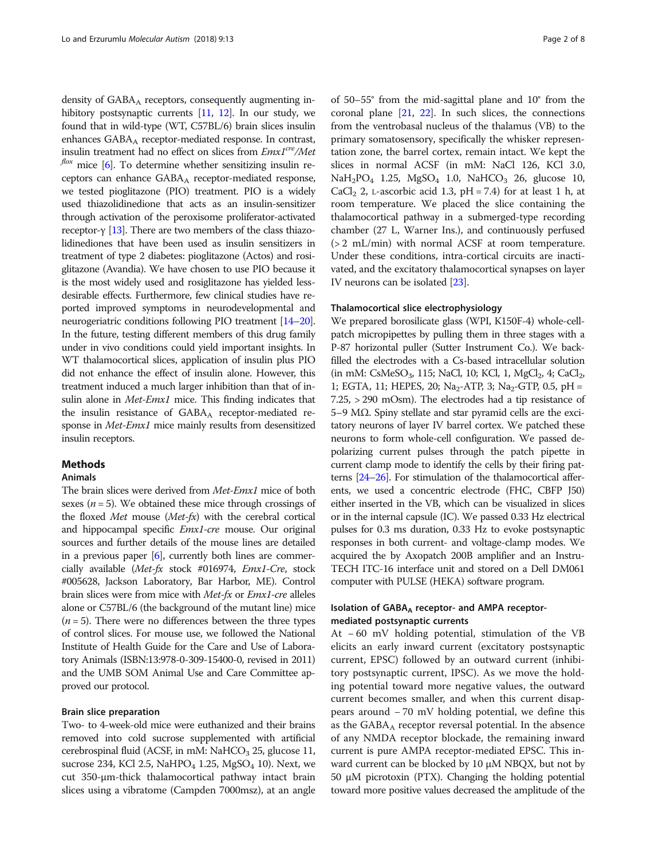density of  $GABA_A$  receptors, consequently augmenting in-hibitory postsynaptic currents [\[11,](#page-7-0) [12\]](#page-7-0). In our study, we found that in wild-type (WT, C57BL/6) brain slices insulin enhances  $GABA_A$  receptor-mediated response. In contrast, insulin treatment had no effect on slices from  $Emx1^{cre}/Met$  $f$ lox mice [\[6](#page-7-0)]. To determine whether sensitizing insulin receptors can enhance GABA<sub>A</sub> receptor-mediated response, we tested pioglitazone (PIO) treatment. PIO is a widely used thiazolidinedione that acts as an insulin-sensitizer through activation of the peroxisome proliferator-activated receptor-γ [[13](#page-7-0)]. There are two members of the class thiazolidinediones that have been used as insulin sensitizers in treatment of type 2 diabetes: pioglitazone (Actos) and rosiglitazone (Avandia). We have chosen to use PIO because it is the most widely used and rosiglitazone has yielded lessdesirable effects. Furthermore, few clinical studies have reported improved symptoms in neurodevelopmental and neurogeriatric conditions following PIO treatment [[14](#page-7-0)–[20](#page-7-0)]. In the future, testing different members of this drug family under in vivo conditions could yield important insights. In WT thalamocortical slices, application of insulin plus PIO did not enhance the effect of insulin alone. However, this treatment induced a much larger inhibition than that of insulin alone in *Met-Emx1* mice. This finding indicates that the insulin resistance of  $GABA_A$  receptor-mediated response in Met-Emx1 mice mainly results from desensitized insulin receptors.

# **Methods**

# Animals

The brain slices were derived from Met-Emx1 mice of both sexes ( $n = 5$ ). We obtained these mice through crossings of the floxed Met mouse (Met-fx) with the cerebral cortical and hippocampal specific Emx1-cre mouse. Our original sources and further details of the mouse lines are detailed in a previous paper [\[6\]](#page-7-0), currently both lines are commercially available (Met-fx stock #016974, Emx1-Cre, stock #005628, Jackson Laboratory, Bar Harbor, ME). Control brain slices were from mice with Met-fx or Emx1-cre alleles alone or C57BL/6 (the background of the mutant line) mice  $(n = 5)$ . There were no differences between the three types of control slices. For mouse use, we followed the National Institute of Health Guide for the Care and Use of Laboratory Animals (ISBN:13:978-0-309-15400-0, revised in 2011) and the UMB SOM Animal Use and Care Committee approved our protocol.

# Brain slice preparation

Two- to 4-week-old mice were euthanized and their brains removed into cold sucrose supplemented with artificial cerebrospinal fluid (ACSF, in mM:  $NaHCO<sub>3</sub> 25$ , glucose 11, sucrose 234, KCl 2.5, NaHPO<sub>4</sub> 1.25, MgSO<sub>4</sub> 10). Next, we cut 350-μm-thick thalamocortical pathway intact brain slices using a vibratome (Campden 7000msz), at an angle

of 50–55° from the mid-sagittal plane and 10° from the coronal plane [[21](#page-7-0), [22](#page-7-0)]. In such slices, the connections from the ventrobasal nucleus of the thalamus (VB) to the primary somatosensory, specifically the whisker representation zone, the barrel cortex, remain intact. We kept the slices in normal ACSF (in mM: NaCl 126, KCl 3.0,  $NaH<sub>2</sub>PO<sub>4</sub>$  1.25,  $MgSO<sub>4</sub>$  1.0,  $NaHCO<sub>3</sub>$  26, glucose 10, CaCl<sub>2</sub> 2, L-ascorbic acid 1.3,  $pH = 7.4$ ) for at least 1 h, at room temperature. We placed the slice containing the thalamocortical pathway in a submerged-type recording chamber (27 L, Warner Ins.), and continuously perfused (> 2 mL/min) with normal ACSF at room temperature. Under these conditions, intra-cortical circuits are inactivated, and the excitatory thalamocortical synapses on layer IV neurons can be isolated [\[23\]](#page-7-0).

## Thalamocortical slice electrophysiology

We prepared borosilicate glass (WPI, K150F-4) whole-cellpatch micropipettes by pulling them in three stages with a P-87 horizontal puller (Sutter Instrument Co.). We backfilled the electrodes with a Cs-based intracellular solution  $(in mM: CsMeSO<sub>3</sub>, 115; NaCl, 10; KCl, 1, MgCl<sub>2</sub>, 4; CaCl<sub>2</sub>)$ 1; EGTA, 11; HEPES, 20; Na<sub>2</sub>-ATP, 3; Na<sub>2</sub>-GTP, 0.5, pH = 7.25, > 290 mOsm). The electrodes had a tip resistance of 5–9 MΩ. Spiny stellate and star pyramid cells are the excitatory neurons of layer IV barrel cortex. We patched these neurons to form whole-cell configuration. We passed depolarizing current pulses through the patch pipette in current clamp mode to identify the cells by their firing patterns [[24](#page-7-0)–[26](#page-7-0)]. For stimulation of the thalamocortical afferents, we used a concentric electrode (FHC, CBFP J50) either inserted in the VB, which can be visualized in slices or in the internal capsule (IC). We passed 0.33 Hz electrical pulses for 0.3 ms duration, 0.33 Hz to evoke postsynaptic responses in both current- and voltage-clamp modes. We acquired the by Axopatch 200B amplifier and an Instru-TECH ITC-16 interface unit and stored on a Dell DM061 computer with PULSE (HEKA) software program.

# Isolation of GABA<sub>A</sub> receptor- and AMPA receptormediated postsynaptic currents

At − 60 mV holding potential, stimulation of the VB elicits an early inward current (excitatory postsynaptic current, EPSC) followed by an outward current (inhibitory postsynaptic current, IPSC). As we move the holding potential toward more negative values, the outward current becomes smaller, and when this current disappears around − 70 mV holding potential, we define this as the  $GABA_A$  receptor reversal potential. In the absence of any NMDA receptor blockade, the remaining inward current is pure AMPA receptor-mediated EPSC. This inward current can be blocked by 10 μM NBQX, but not by 50 μM picrotoxin (PTX). Changing the holding potential toward more positive values decreased the amplitude of the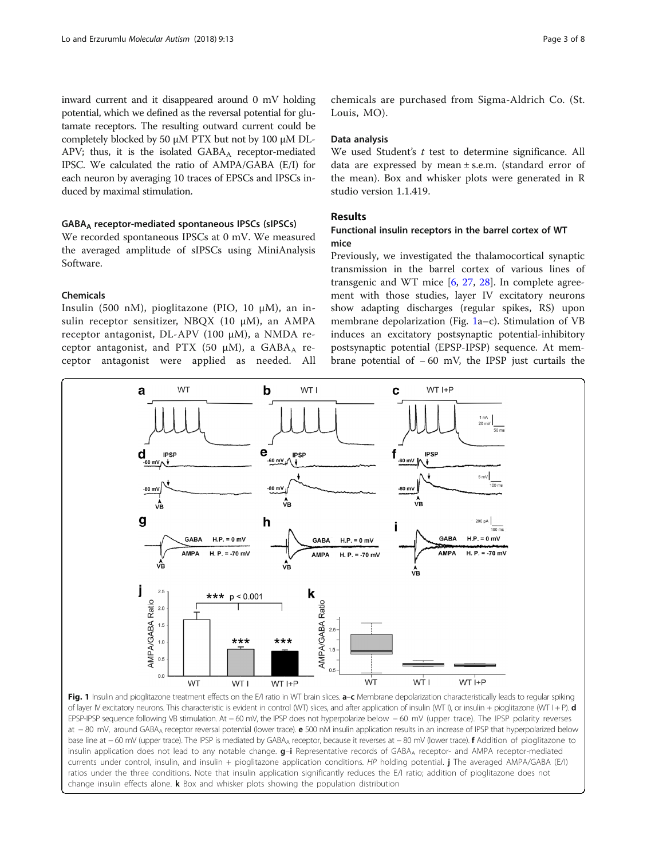<span id="page-2-0"></span>inward current and it disappeared around 0 mV holding potential, which we defined as the reversal potential for glutamate receptors. The resulting outward current could be completely blocked by 50 μM PTX but not by 100 μM DL-APV; thus, it is the isolated  $GABA_A$  receptor-mediated IPSC. We calculated the ratio of AMPA/GABA (E/I) for each neuron by averaging 10 traces of EPSCs and IPSCs induced by maximal stimulation.

## GABAA receptor-mediated spontaneous IPSCs (sIPSCs)

We recorded spontaneous IPSCs at 0 mV. We measured the averaged amplitude of sIPSCs using MiniAnalysis Software.

# Chemicals

Insulin (500 nM), pioglitazone (PIO, 10 μM), an insulin receptor sensitizer, NBQX (10 μM), an AMPA receptor antagonist, DL-APV (100 μM), a NMDA receptor antagonist, and PTX (50  $\mu$ M), a GABA<sub>A</sub> receptor antagonist were applied as needed. All

chemicals are purchased from Sigma-Aldrich Co. (St. Louis, MO).

## Data analysis

We used Student's  $t$  test to determine significance. All data are expressed by mean  $\pm$  s.e.m. (standard error of the mean). Box and whisker plots were generated in R studio version 1.1.419.

# Results

# Functional insulin receptors in the barrel cortex of WT mice

Previously, we investigated the thalamocortical synaptic transmission in the barrel cortex of various lines of transgenic and WT mice  $[6, 27, 28]$  $[6, 27, 28]$  $[6, 27, 28]$  $[6, 27, 28]$  $[6, 27, 28]$  $[6, 27, 28]$ . In complete agreement with those studies, layer IV excitatory neurons show adapting discharges (regular spikes, RS) upon membrane depolarization (Fig. 1a–c). Stimulation of VB induces an excitatory postsynaptic potential-inhibitory postsynaptic potential (EPSP-IPSP) sequence. At membrane potential of − 60 mV, the IPSP just curtails the



Fig. 1 Insulin and pioglitazone treatment effects on the E/I ratio in WT brain slices. a-c Membrane depolarization characteristically leads to regular spiking of layer IV excitatory neurons. This characteristic is evident in control (WT) slices, and after application of insulin (WT I), or insulin + pioglitazone (WT I + P).  $d$ EPSP-IPSP sequence following VB stimulation. At − 60 mV, the IPSP does not hyperpolarize below − 60 mV (upper trace). The IPSP polarity reverses at −80 mV, around GABA<sub>A</sub> receptor reversal potential (lower trace). **e** 500 nM insulin application results in an increase of IPSP that hyperpolarized below base line at −60 mV (upper trace). The IPSP is mediated by GABA<sub>A</sub> receptor, because it reverses at −80 mV (lower trace). **f** Addition of pioglitazone to insulin application does not lead to any notable change. g-i Representative records of GABA<sub>A</sub> receptor- and AMPA receptor-mediated currents under control, insulin, and insulin + pioglitazone application conditions. HP holding potential. j The averaged AMPA/GABA (E/I) ratios under the three conditions. Note that insulin application significantly reduces the E/I ratio; addition of pioglitazone does not change insulin effects alone.  $\bf{k}$  Box and whisker plots showing the population distribution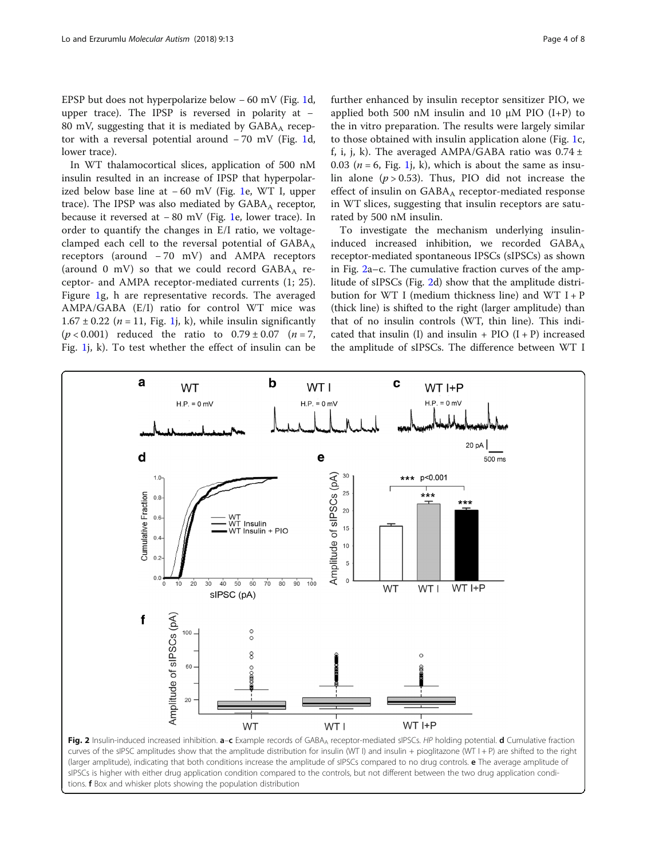<span id="page-3-0"></span>EPSP but does not hyperpolarize below − 60 mV (Fig. [1](#page-2-0)d, upper trace). The IPSP is reversed in polarity at − 80 mV, suggesting that it is mediated by  $GABA_A$  receptor with a reversal potential around − 70 mV (Fig. [1](#page-2-0)d, lower trace).

In WT thalamocortical slices, application of 500 nM insulin resulted in an increase of IPSP that hyperpolarized below base line at − 60 mV (Fig. [1e](#page-2-0), WT I, upper trace). The IPSP was also mediated by  $GABA_A$  receptor, because it reversed at − 80 mV (Fig. [1](#page-2-0)e, lower trace). In order to quantify the changes in E/I ratio, we voltageclamped each cell to the reversal potential of  $GABA_A$ receptors (around − 70 mV) and AMPA receptors (around 0 mV) so that we could record  $GABA_A$  receptor- and AMPA receptor-mediated currents (1; 25). Figure [1g](#page-2-0), h are representative records. The averaged AMPA/GABA (E/I) ratio for control WT mice was  $1.67 \pm 0.22$  (*n* = 11, Fig. 1*j*, k), while insulin significantly  $(p < 0.001)$  reduced the ratio to  $0.79 \pm 0.07$   $(n = 7, 1)$ Fig. [1](#page-2-0)j, k). To test whether the effect of insulin can be

further enhanced by insulin receptor sensitizer PIO, we applied both 500 nM insulin and 10  $\mu$ M PIO (I+P) to the in vitro preparation. The results were largely similar to those obtained with insulin application alone (Fig. [1c](#page-2-0), f, i, j, k). The averaged AMPA/GABA ratio was  $0.74 \pm 1$ 0.03 ( $n = 6$ , Fig. 1, k), which is about the same as insulin alone  $(p > 0.53)$ . Thus, PIO did not increase the effect of insulin on  $GABA_A$  receptor-mediated response in WT slices, suggesting that insulin receptors are saturated by 500 nM insulin.

To investigate the mechanism underlying insulininduced increased inhibition, we recorded  $GABA_A$ receptor-mediated spontaneous IPSCs (sIPSCs) as shown in Fig. 2a–c. The cumulative fraction curves of the amplitude of sIPSCs (Fig. 2d) show that the amplitude distribution for WT I (medium thickness line) and WT  $I + P$ (thick line) is shifted to the right (larger amplitude) than that of no insulin controls (WT, thin line). This indicated that insulin (I) and insulin + PIO  $(I + P)$  increased the amplitude of sIPSCs. The difference between WT I



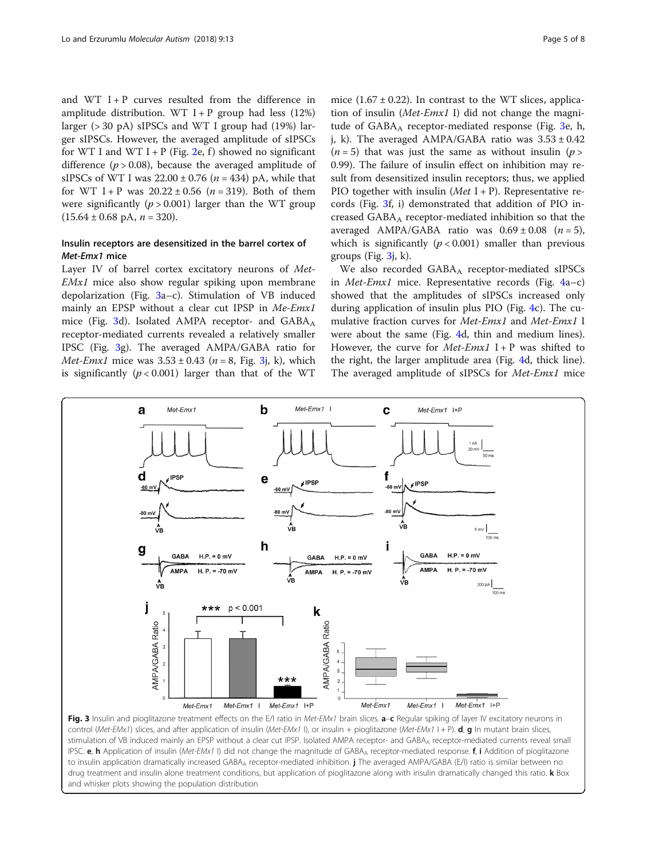and WT  $I + P$  curves resulted from the difference in amplitude distribution. WT  $I + P$  group had less (12%) larger ( $>$  30 pA) sIPSCs and WT I group had (19%) larger sIPSCs. However, the averaged amplitude of sIPSCs for WT I and WT I + P (Fig. [2e](#page-3-0), f) showed no significant difference ( $p > 0.08$ ), because the averaged amplitude of sIPSCs of WT I was  $22.00 \pm 0.76$  ( $n = 434$ ) pA, while that for WT I + P was  $20.22 \pm 0.56$  (*n* = 319). Both of them were significantly ( $p > 0.001$ ) larger than the WT group  $(15.64 \pm 0.68 \text{ pA}, n = 320).$ 

# Insulin receptors are desensitized in the barrel cortex of Met-Emx1 mice

Layer IV of barrel cortex excitatory neurons of Met-EMx1 mice also show regular spiking upon membrane depolarization (Fig. 3a–c). Stimulation of VB induced mainly an EPSP without a clear cut IPSP in Me-Emx1 mice (Fig. 3d). Isolated AMPA receptor- and  $GABA_A$ receptor-mediated currents revealed a relatively smaller IPSC (Fig. 3g). The averaged AMPA/GABA ratio for *Met-Emx1* mice was  $3.53 \pm 0.43$  ( $n = 8$ , Fig. 3j, k), which is significantly  $(p < 0.001)$  larger than that of the WT

mice  $(1.67 \pm 0.22)$ . In contrast to the WT slices, application of insulin ( $Met-Emx1$  I) did not change the magnitude of  $GABA_A$  receptor-mediated response (Fig. 3e, h, j, k). The averaged AMPA/GABA ratio was  $3.53 \pm 0.42$  $(n = 5)$  that was just the same as without insulin  $(p > 1)$ 0.99). The failure of insulin effect on inhibition may result from desensitized insulin receptors; thus, we applied PIO together with insulin (*Met*  $I + P$ ). Representative records (Fig. 3f, i) demonstrated that addition of PIO increased  $GABA_A$  receptor-mediated inhibition so that the averaged AMPA/GABA ratio was  $0.69 \pm 0.08$  ( $n = 5$ ), which is significantly ( $p < 0.001$ ) smaller than previous groups (Fig.  $3i$ , k).

We also recorded GABA<sub>A</sub> receptor-mediated sIPSCs in Met-Emx1 mice. Representative records (Fig. [4a](#page-5-0)–c) showed that the amplitudes of sIPSCs increased only during application of insulin plus PIO (Fig. [4](#page-5-0)c). The cumulative fraction curves for Met-Emx1 and Met-Emx1 I were about the same (Fig. [4d](#page-5-0), thin and medium lines). However, the curve for  $Met-Emx1$  I + P was shifted to the right, the larger amplitude area (Fig. [4d](#page-5-0), thick line). The averaged amplitude of sIPSCs for Met-Emx1 mice



control (Met-EMx1) slices, and after application of insulin (Met-EMx1 I), or insulin + pioglitazone (Met-EMx1 I + P).  $d$ ,  $g$  In mutant brain slices, stimulation of VB induced mainly an EPSP without a clear cut IPSP. Isolated AMPA receptor- and GABAA receptor-mediated currents reveal small IPSC. e, h Application of insulin (Met-EMx1 I) did not change the magnitude of GABA<sub>A</sub> receptor-mediated response. f, i Addition of pioglitazone to insulin application dramatically increased GABA<sub>A</sub> receptor-mediated inhibition. **j** The averaged AMPA/GABA (E/I) ratio is similar between no drug treatment and insulin alone treatment conditions, but application of pioglitazone along with insulin dramatically changed this ratio. k Box and whisker plots showing the population distribution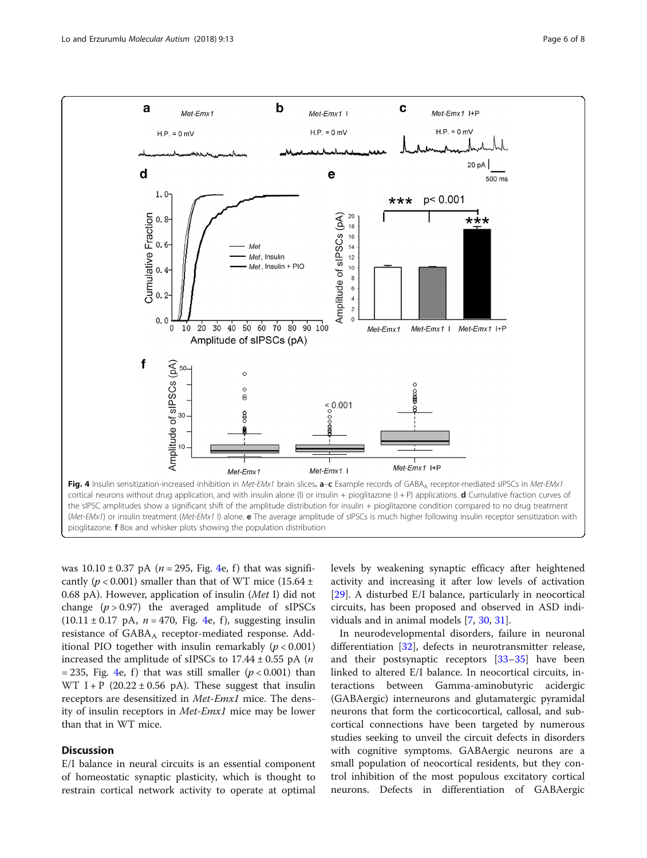<span id="page-5-0"></span>

was  $10.10 \pm 0.37$  pA (*n* = 295, Fig. 4e, f) that was significantly ( $p < 0.001$ ) smaller than that of WT mice (15.64 ± 0.68 pA). However, application of insulin (Met I) did not change  $(p > 0.97)$  the averaged amplitude of sIPSCs  $(10.11 \pm 0.17 \text{ pA}, n = 470, \text{ Fig. 4e, f}),$  suggesting insulin resistance of  $GABA_A$  receptor-mediated response. Additional PIO together with insulin remarkably  $(p < 0.001)$ increased the amplitude of sIPSCs to  $17.44 \pm 0.55$  pA (*n*) = 235, Fig. 4e, f) that was still smaller  $(p < 0.001)$  than WT I + P  $(20.22 \pm 0.56 \text{ pA})$ . These suggest that insulin receptors are desensitized in Met-Emx1 mice. The density of insulin receptors in Met-Emx1 mice may be lower than that in WT mice.

# **Discussion**

E/I balance in neural circuits is an essential component of homeostatic synaptic plasticity, which is thought to restrain cortical network activity to operate at optimal levels by weakening synaptic efficacy after heightened activity and increasing it after low levels of activation [[29\]](#page-7-0). A disturbed E/I balance, particularly in neocortical circuits, has been proposed and observed in ASD individuals and in animal models [[7,](#page-7-0) [30](#page-7-0), [31](#page-7-0)].

In neurodevelopmental disorders, failure in neuronal differentiation [\[32\]](#page-7-0), defects in neurotransmitter release, and their postsynaptic receptors [\[33](#page-7-0)–[35\]](#page-7-0) have been linked to altered E/I balance. In neocortical circuits, interactions between Gamma-aminobutyric acidergic (GABAergic) interneurons and glutamatergic pyramidal neurons that form the corticocortical, callosal, and subcortical connections have been targeted by numerous studies seeking to unveil the circuit defects in disorders with cognitive symptoms. GABAergic neurons are a small population of neocortical residents, but they control inhibition of the most populous excitatory cortical neurons. Defects in differentiation of GABAergic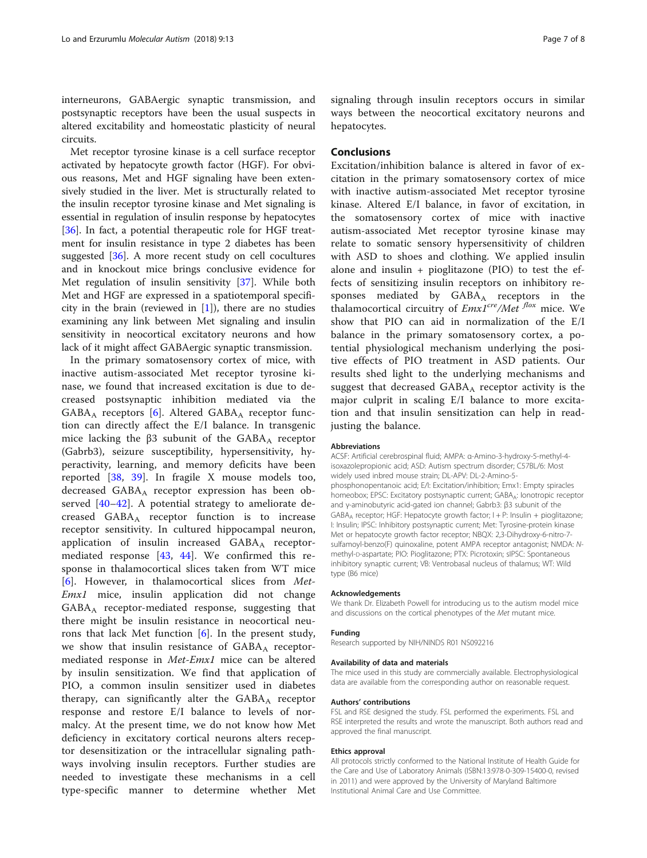interneurons, GABAergic synaptic transmission, and postsynaptic receptors have been the usual suspects in altered excitability and homeostatic plasticity of neural circuits.

Met receptor tyrosine kinase is a cell surface receptor activated by hepatocyte growth factor (HGF). For obvious reasons, Met and HGF signaling have been extensively studied in the liver. Met is structurally related to the insulin receptor tyrosine kinase and Met signaling is essential in regulation of insulin response by hepatocytes [[36\]](#page-7-0). In fact, a potential therapeutic role for HGF treatment for insulin resistance in type 2 diabetes has been suggested [[36](#page-7-0)]. A more recent study on cell cocultures and in knockout mice brings conclusive evidence for Met regulation of insulin sensitivity [\[37\]](#page-7-0). While both Met and HGF are expressed in a spatiotemporal specificity in the brain (reviewed in  $[1]$  $[1]$ ), there are no studies examining any link between Met signaling and insulin sensitivity in neocortical excitatory neurons and how lack of it might affect GABAergic synaptic transmission.

In the primary somatosensory cortex of mice, with inactive autism-associated Met receptor tyrosine kinase, we found that increased excitation is due to decreased postsynaptic inhibition mediated via the  $GABA_A$  receptors [[6\]](#page-7-0). Altered  $GABA_A$  receptor function can directly affect the E/I balance. In transgenic mice lacking the β3 subunit of the  $GABA_A$  receptor (Gabrb3), seizure susceptibility, hypersensitivity, hyperactivity, learning, and memory deficits have been reported [\[38](#page-7-0), [39](#page-7-0)]. In fragile X mouse models too, decreased GABAA receptor expression has been observed [\[40](#page-7-0)–[42](#page-7-0)]. A potential strategy to ameliorate decreased  $GABA_A$  receptor function is to increase receptor sensitivity. In cultured hippocampal neuron, application of insulin increased  $GABA_A$  receptormediated response [\[43](#page-7-0), [44\]](#page-7-0). We confirmed this response in thalamocortical slices taken from WT mice [[6\]](#page-7-0). However, in thalamocortical slices from Met-Emx1 mice, insulin application did not change GABAA receptor-mediated response, suggesting that there might be insulin resistance in neocortical neurons that lack Met function [\[6](#page-7-0)]. In the present study, we show that insulin resistance of  $GABA_A$  receptormediated response in Met-Emx1 mice can be altered by insulin sensitization. We find that application of PIO, a common insulin sensitizer used in diabetes therapy, can significantly alter the  $GABA_A$  receptor response and restore E/I balance to levels of normalcy. At the present time, we do not know how Met deficiency in excitatory cortical neurons alters receptor desensitization or the intracellular signaling pathways involving insulin receptors. Further studies are needed to investigate these mechanisms in a cell type-specific manner to determine whether Met signaling through insulin receptors occurs in similar ways between the neocortical excitatory neurons and hepatocytes.

# **Conclusions**

Excitation/inhibition balance is altered in favor of excitation in the primary somatosensory cortex of mice with inactive autism-associated Met receptor tyrosine kinase. Altered E/I balance, in favor of excitation, in the somatosensory cortex of mice with inactive autism-associated Met receptor tyrosine kinase may relate to somatic sensory hypersensitivity of children with ASD to shoes and clothing. We applied insulin alone and insulin + pioglitazone (PIO) to test the effects of sensitizing insulin receptors on inhibitory responses mediated by  $GABA_A$  receptors in the thalamocortical circuitry of  $Emx1^{cre}/Met$  mice. We show that PIO can aid in normalization of the E/I balance in the primary somatosensory cortex, a potential physiological mechanism underlying the positive effects of PIO treatment in ASD patients. Our results shed light to the underlying mechanisms and suggest that decreased  $GABA_A$  receptor activity is the major culprit in scaling E/I balance to more excitation and that insulin sensitization can help in readjusting the balance.

## Abbreviations

ACSF: Artificial cerebrospinal fluid; AMPA: α-Amino-3-hydroxy-5-methyl-4 isoxazolepropionic acid; ASD: Autism spectrum disorder; C57BL/6: Most widely used inbred mouse strain; DL-APV: DL-2-Amino-5 phosphonopentanoic acid; E/I: Excitation/inhibition; Emx1: Empty spiracles homeobox; EPSC: Excitatory postsynaptic current; GABAA: lonotropic receptor and γ-aminobutyric acid-gated ion channel; Gabrb3: β3 subunit of the GABA<sub>A</sub> receptor; HGF: Hepatocyte growth factor; I + P: Insulin + pioglitazone; I: Insulin; IPSC: Inhibitory postsynaptic current; Met: Tyrosine-protein kinase Met or hepatocyte growth factor receptor; NBQX: 2,3-Dihydroxy-6-nitro-7 sulfamoyl-benzo(F) quinoxaline, potent AMPA receptor antagonist; NMDA: Nmethyl-D-aspartate; PIO: Pioglitazone; PTX: Picrotoxin; sIPSC: Spontaneous inhibitory synaptic current; VB: Ventrobasal nucleus of thalamus; WT: Wild type (B6 mice)

#### Acknowledgements

We thank Dr. Elizabeth Powell for introducing us to the autism model mice and discussions on the cortical phenotypes of the Met mutant mice.

#### Funding

Research supported by NIH/NINDS R01 NS092216

### Availability of data and materials

The mice used in this study are commercially available. Electrophysiological data are available from the corresponding author on reasonable request.

### Authors' contributions

FSL and RSE designed the study. FSL performed the experiments. FSL and RSE interpreted the results and wrote the manuscript. Both authors read and approved the final manuscript.

### Ethics approval

All protocols strictly conformed to the National Institute of Health Guide for the Care and Use of Laboratory Animals (ISBN:13:978-0-309-15400-0, revised in 2011) and were approved by the University of Maryland Baltimore Institutional Animal Care and Use Committee.